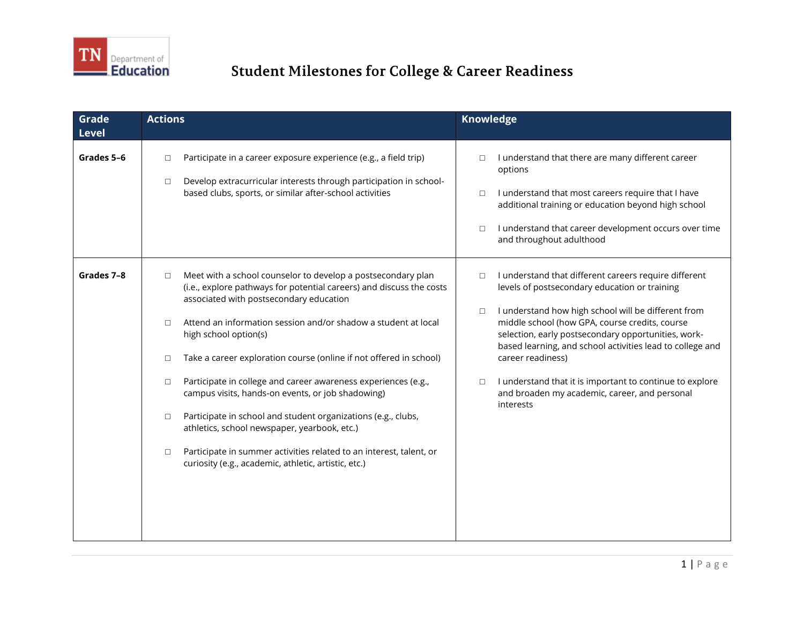

| Grade<br><b>Level</b> | <b>Actions</b>                                                                                                                                                                                                                                                                                                                                                                                                                                                                                                                                                                                                                                                                                                                                                                      | <b>Knowledge</b>                                                                                                                                                                                                                                                                                                                                                                                                                                                                                                 |
|-----------------------|-------------------------------------------------------------------------------------------------------------------------------------------------------------------------------------------------------------------------------------------------------------------------------------------------------------------------------------------------------------------------------------------------------------------------------------------------------------------------------------------------------------------------------------------------------------------------------------------------------------------------------------------------------------------------------------------------------------------------------------------------------------------------------------|------------------------------------------------------------------------------------------------------------------------------------------------------------------------------------------------------------------------------------------------------------------------------------------------------------------------------------------------------------------------------------------------------------------------------------------------------------------------------------------------------------------|
| Grades 5-6            | Participate in a career exposure experience (e.g., a field trip)<br>$\Box$<br>Develop extracurricular interests through participation in school-<br>$\Box$<br>based clubs, sports, or similar after-school activities                                                                                                                                                                                                                                                                                                                                                                                                                                                                                                                                                               | I understand that there are many different career<br>$\Box$<br>options<br>I understand that most careers require that I have<br>$\Box$<br>additional training or education beyond high school<br>I understand that career development occurs over time<br>$\Box$<br>and throughout adulthood                                                                                                                                                                                                                     |
| Grades 7-8            | Meet with a school counselor to develop a postsecondary plan<br>$\Box$<br>(i.e., explore pathways for potential careers) and discuss the costs<br>associated with postsecondary education<br>Attend an information session and/or shadow a student at local<br>$\Box$<br>high school option(s)<br>Take a career exploration course (online if not offered in school)<br>$\Box$<br>Participate in college and career awareness experiences (e.g.,<br>$\Box$<br>campus visits, hands-on events, or job shadowing)<br>Participate in school and student organizations (e.g., clubs,<br>$\Box$<br>athletics, school newspaper, yearbook, etc.)<br>Participate in summer activities related to an interest, talent, or<br>$\Box$<br>curiosity (e.g., academic, athletic, artistic, etc.) | I understand that different careers require different<br>$\Box$<br>levels of postsecondary education or training<br>I understand how high school will be different from<br>$\Box$<br>middle school (how GPA, course credits, course<br>selection, early postsecondary opportunities, work-<br>based learning, and school activities lead to college and<br>career readiness)<br>I understand that it is important to continue to explore<br>$\Box$<br>and broaden my academic, career, and personal<br>interests |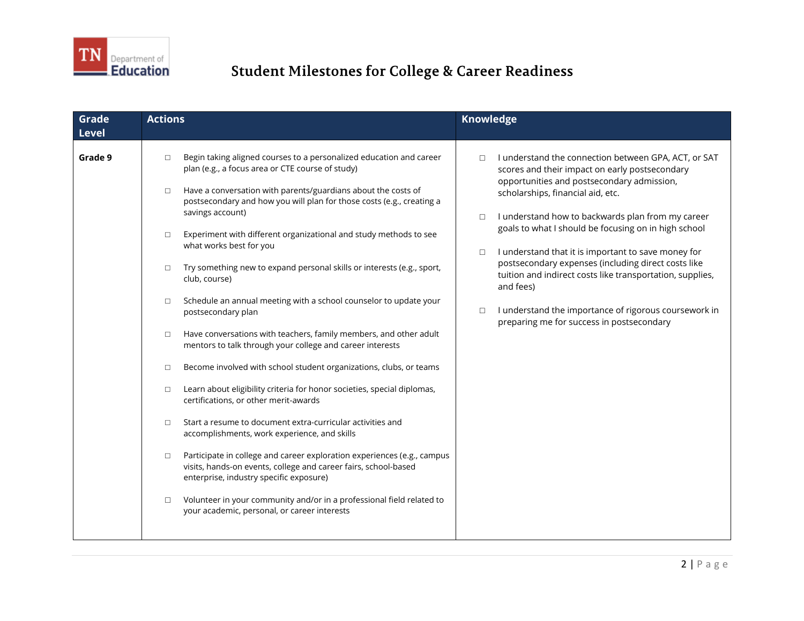

| Grade<br><b>Level</b> | <b>Actions</b>                                                                                                                                                                                                                                                                                                                                                                                                                                                                                                                                                                                                                                                                                                                                                                                                                                                                                                                                                                                                                                                                                                                                                                                                                                                                                                                                                                                                                                        | Knowledge                                                                                                                                                                                                                                                                                                                                                                                                                                                                                                                                                                                                                                    |
|-----------------------|-------------------------------------------------------------------------------------------------------------------------------------------------------------------------------------------------------------------------------------------------------------------------------------------------------------------------------------------------------------------------------------------------------------------------------------------------------------------------------------------------------------------------------------------------------------------------------------------------------------------------------------------------------------------------------------------------------------------------------------------------------------------------------------------------------------------------------------------------------------------------------------------------------------------------------------------------------------------------------------------------------------------------------------------------------------------------------------------------------------------------------------------------------------------------------------------------------------------------------------------------------------------------------------------------------------------------------------------------------------------------------------------------------------------------------------------------------|----------------------------------------------------------------------------------------------------------------------------------------------------------------------------------------------------------------------------------------------------------------------------------------------------------------------------------------------------------------------------------------------------------------------------------------------------------------------------------------------------------------------------------------------------------------------------------------------------------------------------------------------|
| Grade 9               | Begin taking aligned courses to a personalized education and career<br>$\Box$<br>plan (e.g., a focus area or CTE course of study)<br>Have a conversation with parents/guardians about the costs of<br>$\Box$<br>postsecondary and how you will plan for those costs (e.g., creating a<br>savings account)<br>Experiment with different organizational and study methods to see<br>$\Box$<br>what works best for you<br>Try something new to expand personal skills or interests (e.g., sport,<br>$\Box$<br>club, course)<br>Schedule an annual meeting with a school counselor to update your<br>$\Box$<br>postsecondary plan<br>Have conversations with teachers, family members, and other adult<br>$\Box$<br>mentors to talk through your college and career interests<br>Become involved with school student organizations, clubs, or teams<br>$\Box$<br>Learn about eligibility criteria for honor societies, special diplomas,<br>$\Box$<br>certifications, or other merit-awards<br>Start a resume to document extra-curricular activities and<br>$\Box$<br>accomplishments, work experience, and skills<br>Participate in college and career exploration experiences (e.g., campus<br>$\Box$<br>visits, hands-on events, college and career fairs, school-based<br>enterprise, industry specific exposure)<br>Volunteer in your community and/or in a professional field related to<br>$\Box$<br>your academic, personal, or career interests | I understand the connection between GPA, ACT, or SAT<br>$\Box$<br>scores and their impact on early postsecondary<br>opportunities and postsecondary admission,<br>scholarships, financial aid, etc.<br>I understand how to backwards plan from my career<br>$\Box$<br>goals to what I should be focusing on in high school<br>I understand that it is important to save money for<br>$\Box$<br>postsecondary expenses (including direct costs like<br>tuition and indirect costs like transportation, supplies,<br>and fees)<br>I understand the importance of rigorous coursework in<br>$\Box$<br>preparing me for success in postsecondary |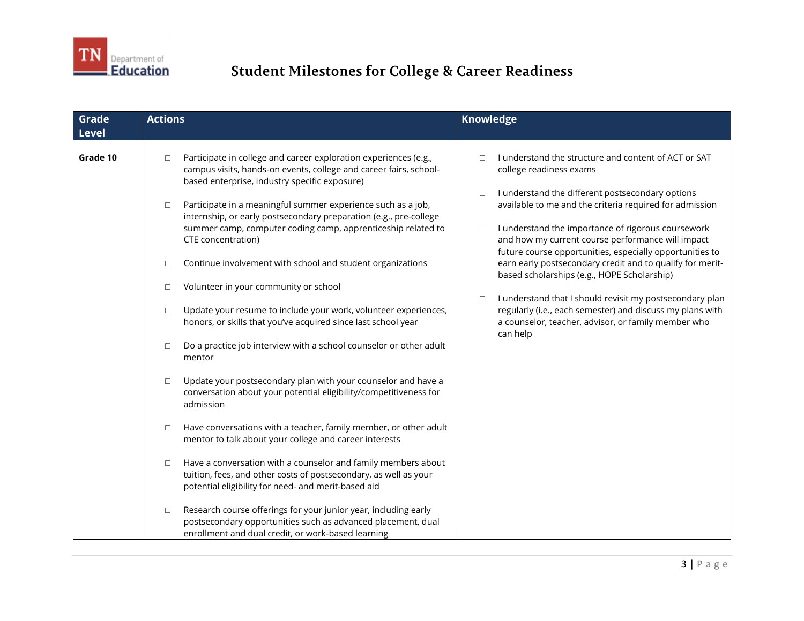

| Grade<br><b>Level</b> | <b>Actions</b>                                                                                                                                                                                                                                                                                                                                                                                                                                                                                                                                                                                                                                                                                                                                                                                                                                                                                                                                                                                                                                                                                                                                                                                                                                                                                                      | Knowledge                                                                                                                                                                                                                                                                                                                                                                                                                                                                                                                                                                                                                                                                                                        |
|-----------------------|---------------------------------------------------------------------------------------------------------------------------------------------------------------------------------------------------------------------------------------------------------------------------------------------------------------------------------------------------------------------------------------------------------------------------------------------------------------------------------------------------------------------------------------------------------------------------------------------------------------------------------------------------------------------------------------------------------------------------------------------------------------------------------------------------------------------------------------------------------------------------------------------------------------------------------------------------------------------------------------------------------------------------------------------------------------------------------------------------------------------------------------------------------------------------------------------------------------------------------------------------------------------------------------------------------------------|------------------------------------------------------------------------------------------------------------------------------------------------------------------------------------------------------------------------------------------------------------------------------------------------------------------------------------------------------------------------------------------------------------------------------------------------------------------------------------------------------------------------------------------------------------------------------------------------------------------------------------------------------------------------------------------------------------------|
| Grade 10              | Participate in college and career exploration experiences (e.g.,<br>$\Box$<br>campus visits, hands-on events, college and career fairs, school-<br>based enterprise, industry specific exposure)<br>Participate in a meaningful summer experience such as a job,<br>$\Box$<br>internship, or early postsecondary preparation (e.g., pre-college<br>summer camp, computer coding camp, apprenticeship related to<br>CTE concentration)<br>Continue involvement with school and student organizations<br>$\Box$<br>Volunteer in your community or school<br>$\Box$<br>Update your resume to include your work, volunteer experiences,<br>$\Box$<br>honors, or skills that you've acquired since last school year<br>Do a practice job interview with a school counselor or other adult<br>$\Box$<br>mentor<br>Update your postsecondary plan with your counselor and have a<br>$\Box$<br>conversation about your potential eligibility/competitiveness for<br>admission<br>Have conversations with a teacher, family member, or other adult<br>$\Box$<br>mentor to talk about your college and career interests<br>Have a conversation with a counselor and family members about<br>$\Box$<br>tuition, fees, and other costs of postsecondary, as well as your<br>potential eligibility for need- and merit-based aid | I understand the structure and content of ACT or SAT<br>П<br>college readiness exams<br>I understand the different postsecondary options<br>$\Box$<br>available to me and the criteria required for admission<br>I understand the importance of rigorous coursework<br>$\Box$<br>and how my current course performance will impact<br>future course opportunities, especially opportunities to<br>earn early postsecondary credit and to qualify for merit-<br>based scholarships (e.g., HOPE Scholarship)<br>I understand that I should revisit my postsecondary plan<br>$\Box$<br>regularly (i.e., each semester) and discuss my plans with<br>a counselor, teacher, advisor, or family member who<br>can help |
|                       | Research course offerings for your junior year, including early<br>$\Box$<br>postsecondary opportunities such as advanced placement, dual<br>enrollment and dual credit, or work-based learning                                                                                                                                                                                                                                                                                                                                                                                                                                                                                                                                                                                                                                                                                                                                                                                                                                                                                                                                                                                                                                                                                                                     |                                                                                                                                                                                                                                                                                                                                                                                                                                                                                                                                                                                                                                                                                                                  |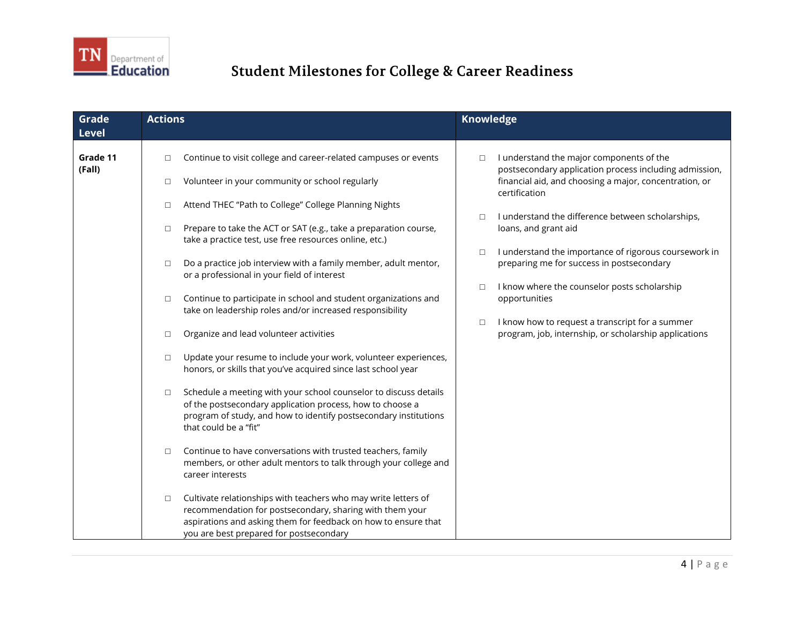

| <b>Grade</b><br><b>Level</b> | <b>Actions</b>                                                                                                                                                                                                                                    | <b>Knowledge</b>                                                                                                   |
|------------------------------|---------------------------------------------------------------------------------------------------------------------------------------------------------------------------------------------------------------------------------------------------|--------------------------------------------------------------------------------------------------------------------|
| Grade 11<br>(Fall)           | Continue to visit college and career-related campuses or events<br>$\Box$                                                                                                                                                                         | I understand the major components of the<br>$\Box$<br>postsecondary application process including admission,       |
|                              | Volunteer in your community or school regularly<br>$\Box$                                                                                                                                                                                         | financial aid, and choosing a major, concentration, or<br>certification                                            |
|                              | Attend THEC "Path to College" College Planning Nights<br>$\Box$                                                                                                                                                                                   |                                                                                                                    |
|                              | Prepare to take the ACT or SAT (e.g., take a preparation course,<br>$\Box$<br>take a practice test, use free resources online, etc.)                                                                                                              | I understand the difference between scholarships,<br>$\Box$<br>loans, and grant aid                                |
|                              | Do a practice job interview with a family member, adult mentor,<br>$\Box$<br>or a professional in your field of interest                                                                                                                          | I understand the importance of rigorous coursework in<br>$\Box$<br>preparing me for success in postsecondary       |
|                              | Continue to participate in school and student organizations and<br>$\Box$<br>take on leadership roles and/or increased responsibility                                                                                                             | I know where the counselor posts scholarship<br>$\Box$<br>opportunities                                            |
|                              | Organize and lead volunteer activities<br>$\Box$                                                                                                                                                                                                  | I know how to request a transcript for a summer<br>$\Box$<br>program, job, internship, or scholarship applications |
|                              | Update your resume to include your work, volunteer experiences,<br>□<br>honors, or skills that you've acquired since last school year                                                                                                             |                                                                                                                    |
|                              | Schedule a meeting with your school counselor to discuss details<br>$\Box$<br>of the postsecondary application process, how to choose a<br>program of study, and how to identify postsecondary institutions<br>that could be a "fit"              |                                                                                                                    |
|                              | Continue to have conversations with trusted teachers, family<br>$\Box$<br>members, or other adult mentors to talk through your college and<br>career interests                                                                                    |                                                                                                                    |
|                              | Cultivate relationships with teachers who may write letters of<br>$\Box$<br>recommendation for postsecondary, sharing with them your<br>aspirations and asking them for feedback on how to ensure that<br>you are best prepared for postsecondary |                                                                                                                    |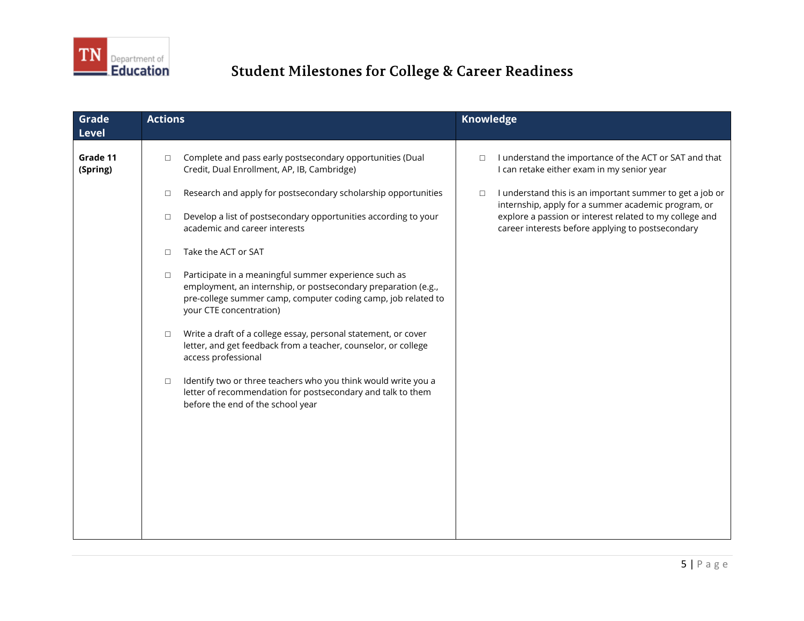

| Grade<br><b>Level</b> | <b>Actions</b>                                                                                                                                                                                                                | <b>Knowledge</b>                                                                                                          |
|-----------------------|-------------------------------------------------------------------------------------------------------------------------------------------------------------------------------------------------------------------------------|---------------------------------------------------------------------------------------------------------------------------|
| Grade 11<br>(Spring)  | Complete and pass early postsecondary opportunities (Dual<br>$\Box$<br>Credit, Dual Enrollment, AP, IB, Cambridge)                                                                                                            | I understand the importance of the ACT or SAT and that<br>$\Box$<br>I can retake either exam in my senior year            |
|                       | Research and apply for postsecondary scholarship opportunities<br>$\Box$                                                                                                                                                      | I understand this is an important summer to get a job or<br>$\Box$<br>internship, apply for a summer academic program, or |
|                       | Develop a list of postsecondary opportunities according to your<br>$\Box$<br>academic and career interests                                                                                                                    | explore a passion or interest related to my college and<br>career interests before applying to postsecondary              |
|                       | Take the ACT or SAT<br>$\Box$                                                                                                                                                                                                 |                                                                                                                           |
|                       | Participate in a meaningful summer experience such as<br>$\Box$<br>employment, an internship, or postsecondary preparation (e.g.,<br>pre-college summer camp, computer coding camp, job related to<br>your CTE concentration) |                                                                                                                           |
|                       | Write a draft of a college essay, personal statement, or cover<br>$\Box$<br>letter, and get feedback from a teacher, counselor, or college<br>access professional                                                             |                                                                                                                           |
|                       | Identify two or three teachers who you think would write you a<br>$\Box$<br>letter of recommendation for postsecondary and talk to them<br>before the end of the school year                                                  |                                                                                                                           |
|                       |                                                                                                                                                                                                                               |                                                                                                                           |
|                       |                                                                                                                                                                                                                               |                                                                                                                           |
|                       |                                                                                                                                                                                                                               |                                                                                                                           |
|                       |                                                                                                                                                                                                                               |                                                                                                                           |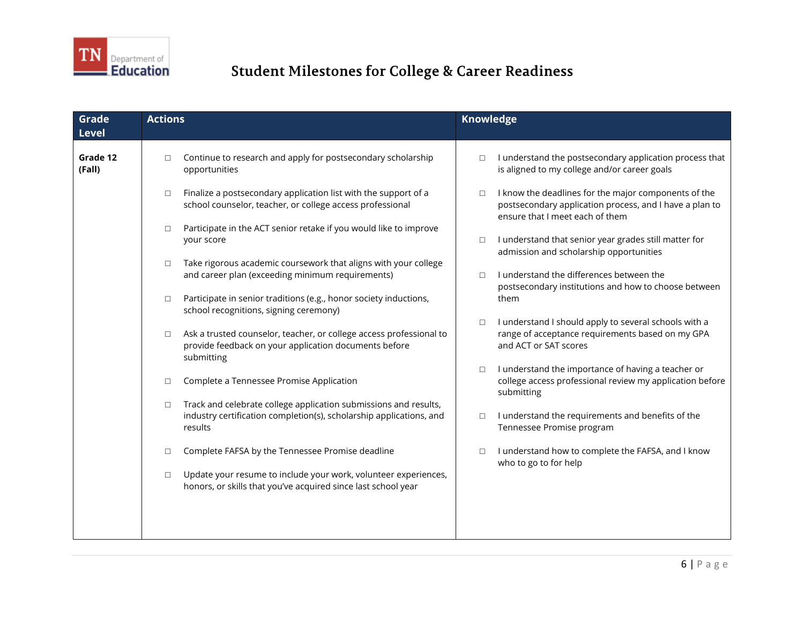

| Grade<br><b>Level</b> | <b>Actions</b>                                                                                                                                               | <b>Knowledge</b>                                                                                                                                             |
|-----------------------|--------------------------------------------------------------------------------------------------------------------------------------------------------------|--------------------------------------------------------------------------------------------------------------------------------------------------------------|
| Grade 12<br>(Fall)    | Continue to research and apply for postsecondary scholarship<br>$\Box$<br>opportunities                                                                      | I understand the postsecondary application process that<br>$\Box$<br>is aligned to my college and/or career goals                                            |
|                       | Finalize a postsecondary application list with the support of a<br>$\Box$<br>school counselor, teacher, or college access professional                       | I know the deadlines for the major components of the<br>$\Box$<br>postsecondary application process, and I have a plan to<br>ensure that I meet each of them |
|                       | Participate in the ACT senior retake if you would like to improve<br>$\Box$<br>your score                                                                    | I understand that senior year grades still matter for<br>$\Box$<br>admission and scholarship opportunities                                                   |
|                       | Take rigorous academic coursework that aligns with your college<br>$\Box$<br>and career plan (exceeding minimum requirements)                                | I understand the differences between the<br>$\Box$<br>postsecondary institutions and how to choose between<br>them                                           |
|                       | Participate in senior traditions (e.g., honor society inductions,<br>$\Box$<br>school recognitions, signing ceremony)                                        | I understand I should apply to several schools with a<br>$\Box$                                                                                              |
|                       | Ask a trusted counselor, teacher, or college access professional to<br>$\Box$<br>provide feedback on your application documents before<br>submitting         | range of acceptance requirements based on my GPA<br>and ACT or SAT scores                                                                                    |
|                       | Complete a Tennessee Promise Application<br>$\Box$                                                                                                           | I understand the importance of having a teacher or<br>$\Box$<br>college access professional review my application before<br>submitting                       |
|                       | Track and celebrate college application submissions and results,<br>$\Box$<br>industry certification completion(s), scholarship applications, and<br>results | I understand the requirements and benefits of the<br>$\Box$<br>Tennessee Promise program                                                                     |
|                       | Complete FAFSA by the Tennessee Promise deadline<br>$\Box$                                                                                                   | I understand how to complete the FAFSA, and I know<br>$\Box$<br>who to go to for help                                                                        |
|                       | Update your resume to include your work, volunteer experiences,<br>$\Box$<br>honors, or skills that you've acquired since last school year                   |                                                                                                                                                              |
|                       |                                                                                                                                                              |                                                                                                                                                              |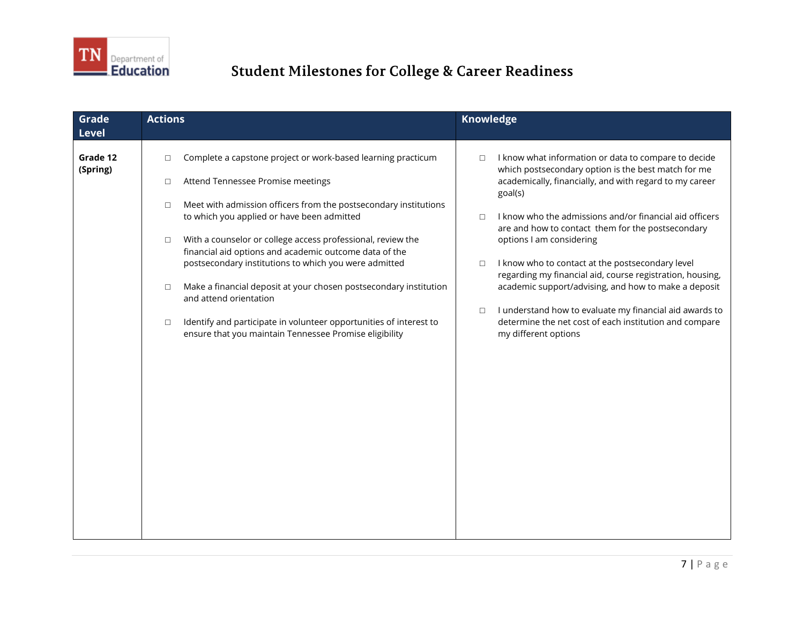

| Grade<br><b>Level</b> | <b>Actions</b>                                                                                                                                                                                                                                                                                                                                                                                                                                                                                                                                                                                                                                                                                   | <b>Knowledge</b>                                                                                                                                                                                                                                                                                                                                                                                                                                                                                                                                                                                                                                                                            |
|-----------------------|--------------------------------------------------------------------------------------------------------------------------------------------------------------------------------------------------------------------------------------------------------------------------------------------------------------------------------------------------------------------------------------------------------------------------------------------------------------------------------------------------------------------------------------------------------------------------------------------------------------------------------------------------------------------------------------------------|---------------------------------------------------------------------------------------------------------------------------------------------------------------------------------------------------------------------------------------------------------------------------------------------------------------------------------------------------------------------------------------------------------------------------------------------------------------------------------------------------------------------------------------------------------------------------------------------------------------------------------------------------------------------------------------------|
| Grade 12<br>(Spring)  | Complete a capstone project or work-based learning practicum<br>$\Box$<br>Attend Tennessee Promise meetings<br>$\Box$<br>Meet with admission officers from the postsecondary institutions<br>$\Box$<br>to which you applied or have been admitted<br>With a counselor or college access professional, review the<br>$\Box$<br>financial aid options and academic outcome data of the<br>postsecondary institutions to which you were admitted<br>Make a financial deposit at your chosen postsecondary institution<br>$\Box$<br>and attend orientation<br>Identify and participate in volunteer opportunities of interest to<br>$\Box$<br>ensure that you maintain Tennessee Promise eligibility | I know what information or data to compare to decide<br>$\Box$<br>which postsecondary option is the best match for me<br>academically, financially, and with regard to my career<br>goal(s)<br>I know who the admissions and/or financial aid officers<br>$\Box$<br>are and how to contact them for the postsecondary<br>options I am considering<br>I know who to contact at the postsecondary level<br>$\Box$<br>regarding my financial aid, course registration, housing,<br>academic support/advising, and how to make a deposit<br>I understand how to evaluate my financial aid awards to<br>$\Box$<br>determine the net cost of each institution and compare<br>my different options |